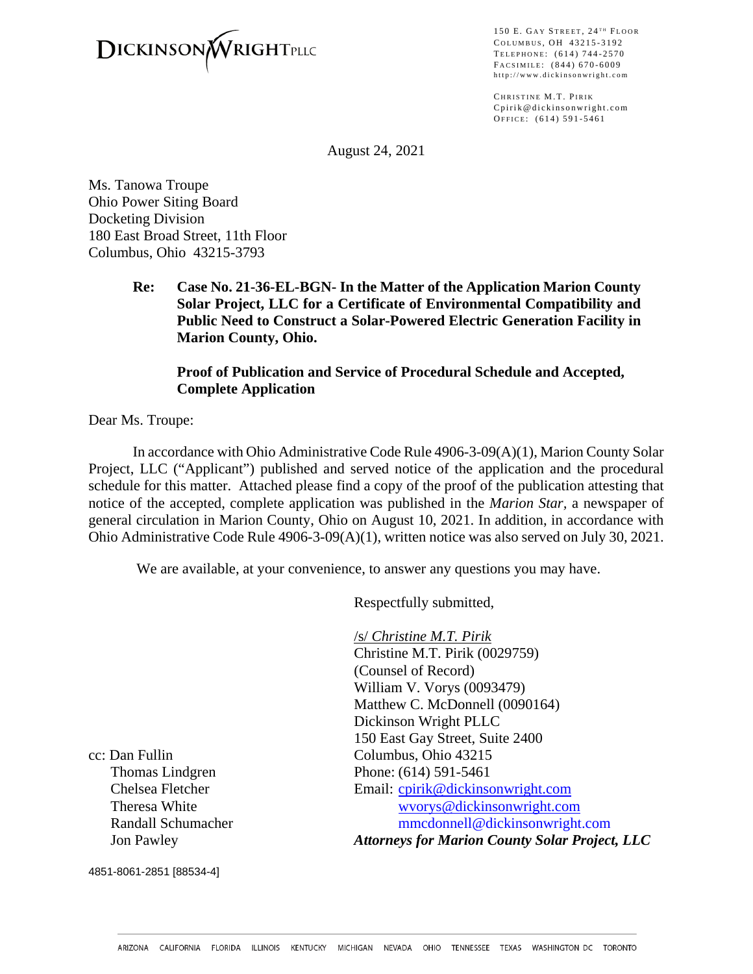

150 E. GAY STREET,  $24$ <sup>TH</sup> FLOOR C OLUMBUS , O H 43215 - 3192 TELEPHONE: (614) 744-2570 FACSIMILE: (844) 670-6009 http://www.dickinsonwright.com

CHRISTINE M.T. PIRIK Cpirik@dickinsonwright.com OFFICE: (614) 591-5461

August 24, 2021

Ms. Tanowa Troupe Ohio Power Siting Board Docketing Division 180 East Broad Street, 11th Floor Columbus, Ohio 43215-3793

> **Re: Case No. 21-36-EL-BGN- In the Matter of the Application Marion County Solar Project, LLC for a Certificate of Environmental Compatibility and Public Need to Construct a Solar-Powered Electric Generation Facility in Marion County, Ohio.**

### **Proof of Publication and Service of Procedural Schedule and Accepted, Complete Application**

Dear Ms. Troupe:

In accordance with Ohio Administrative Code Rule 4906-3-09(A)(1), Marion County Solar Project, LLC ("Applicant") published and served notice of the application and the procedural schedule for this matter. Attached please find a copy of the proof of the publication attesting that notice of the accepted, complete application was published in the *Marion Star,* a newspaper of general circulation in Marion County, Ohio on August 10, 2021. In addition, in accordance with Ohio Administrative Code Rule 4906-3-09(A)(1), written notice was also served on July 30, 2021.

We are available, at your convenience, to answer any questions you may have.

Respectfully submitted,

/s/ *Christine M.T. Pirik* Christine M.T. Pirik (0029759) (Counsel of Record) William V. Vorys (0093479) Matthew C. McDonnell (0090164) Dickinson Wright PLLC 150 East Gay Street, Suite 2400 cc: Dan Fullin Columbus, Ohio 43215 Thomas Lindgren Phone: (614) 591-5461 Chelsea Fletcher Email: come Email: come Email: come Email: come entry and the Email: come entry and the Email: com Theresa White [wvorys@dickinsonwright.com](mailto:wvorys@dickinsonwright.com) Randall Schumacher mmcdonnell@dickinsonwright.com Jon Pawley *Attorneys for Marion County Solar Project, LLC*

4851-8061-2851 [88534-4]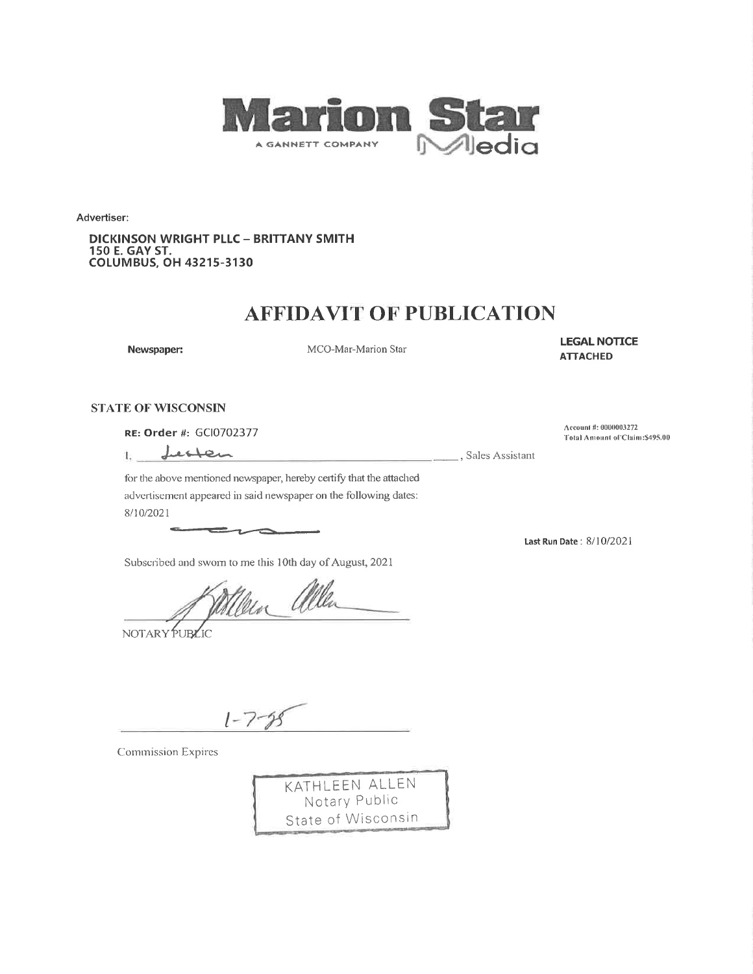

Advertiser:

**DICKINSON WRIGHT PLLC - BRITTANY SMITH** 150 E. GAY ST.<br>COLUMBUS, OH 43215-3130

## **AFFIDAVIT OF PUBLICATION**

Newspaper:

MCO-Mar-Marion Star

**LEGAL NOTICE ATTACHED** 

### **STATE OF WISCONSIN**

RE: Order #: GCl0702377

Letten  $1.$ 

Sales Assistant

Account #: 0000003272 Total Amount of Claim: \$495.00

for the above mentioned newspaper, hereby certify that the attached advertisement appeared in said newspaper on the following dates: 8/10/2021

 $\rightarrow$ 

Subscribed and sworn to me this 10th day of August, 2021

Men allen

NOTARY PUBLIC

 $1 - 7 - 99$ 

**Commission Expires** 



Last Run Date: 8/10/2021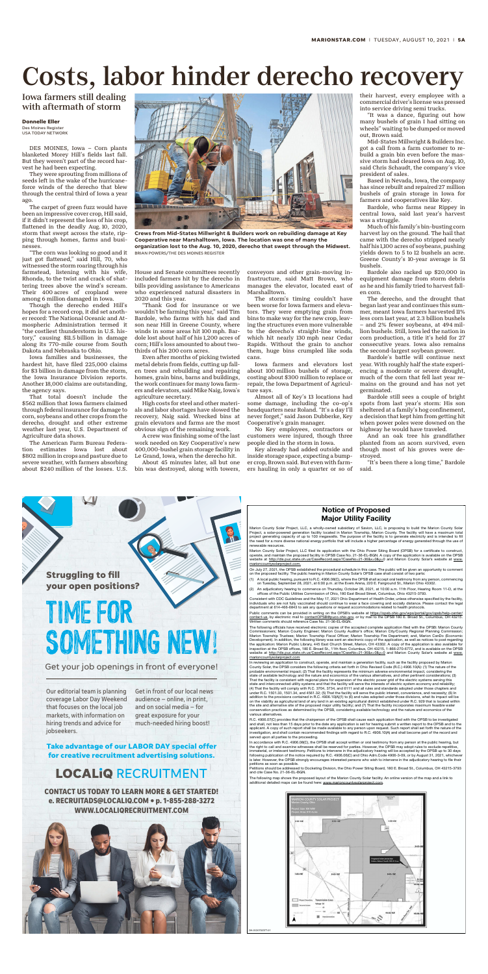OH-GCI0702377-01

### Notice of Proposed Major Utility Facility

Marion County Solar Project, LLC, a wholly-owned subsidiary of Savion, LLC, is proposing to build the Marion County Solar Project, a solar-powered generation facility located in Marion Township, Marion County. The facility will have a maximum total<br>project generating capacity of up to 100 megawatts. The purpose of the facility is to generate renewable resources.

Marion County Solar Project, LLC filed its application with the Ohio Power Siting Board (OPSB) for a certificate to construct,<br>operate, and maintain the proposed facility in OPSB Case No. 21-36-EL-BGN. A copy of the applic

- (1) A local public hearing, pursuant to R.C. 4906.08(C), where the OPSB shall accept oral testimony from any person, co on Tuesday, September 28, 2021, at 6:00 p.m. at the Evers Arena, 220 E. Fairground St., Marion Ohio 43302.
- (2) An adjudicatory hearing to commence on Thursday, October 28, 2021, at 10:00 a.m. 11th Floor, Hearing Room 11-D, at the offices of the Public Utilities Commission of Ohio, 180 East Broad Street, Columbus, Ohio 43215-3793.

Consistent with CDC Guidelines and the May 17, 2021 Ohio Department of Health Order, unless otherwise specified by the facility,<br>individuals who are not fully vaccinated should continue to wear a face covering and socially

Public comments can be provided in writing on the OPSB's website at https://opsb.ohio.gov/wps/portal/gov/opsb/help-center/ contact-us, by electronic mail to contactOPSB@puco.ohio.gov, or by mail to the OPSB 180 E. Broad St., Columbus, OH 43215.<br>Written comments should reference Case No. 21-36-EL-BGN.

The following officials have received electronic copies of the accepted complete application filed with the OPSB: Marion County<br>Commissioners: Marion County Engineer: Marion County Auditor's office: Marion City/County Regi Marion Township Trustees; Marion Township Fiscal Officer; Marion Township Fire Department; and, Marion CanDo (Economic<br>Development). In addition, the following library was sent an electronic copy of the application, as wel ction at the OPSB offices, 180 É. Broad St., 11th floor, Columbus, OH 43215, 1-866-270-6772, and is available on the OPSB .<br>Dsite at <u>http://dis.puc.state.oh.us/CaseRecord.aspx?CaseNo=21-36&x=0&y=0</u> and Marion County Solar's website at <u>www</u> marioncountysolarproject.com

The following map shows the proposed layout of the Marion County Solar facility. An online version of the map and a link to additional detailed maps can be found here: www.marioncountysolarproject.com



In reviewing an application to construct, operate, and maintain a generation facility, such as the facility proposed by Marion County Solar, the OPSB considers the following criteria set forth in Ohio Revised Code (R.C.) 4906.10(A): (1) The nature of the<br>probable environmental impact: (2) That the facility represents the minimum adverse environmen state of available technology and the nature and economics of the various alternatives, and other pertinent considerations; (3) That the facility is consistent with regional plans for expansion of the electric power grid of the electric systems serving this state and interconnected utility systems and that the facility will serve the interests of electric system economy and reliability;<br>(4) That the facility will comply with R.C. 3704. 3734. and 6111 and all rules and standar under R.C. 1501.33, 1501.34, and 4561.32; (5) That the facility will serve the public interest, convenience, and necessity; (6) In<br>addition to the provisions contained in R.C. 4906.10(A)(1) to (6) and rules adopted under t addition to the provisions contained in R.C. 4906.10(A)(1) to (6) and rules adopted under those divisio on the viability as agricultural land of any land in an existing agricultural district established under R.C. 929 that is located within the site and alternative site of the proposed major utility facility; and (7) That the facility incorporates maximum feasible water conservation practices as determined by the OPSB, considering available technology and the nature and economics of the various alternatives.

R.C. 4906.07(C) provides that the chairperson of the OPSB shall cause each application filed with the OPSB to be investigated and shall, not less than 15 days prior to the date any application is set for hearing submit a written report to the OPSB and to the<br>applicant. A copy of such report shall be made available to any person upon request. Such investigation, and shall contain recommended findings with regard to R.C. 4906.10(A) and shall become part of the record and served upon all parties to the proceeding.

In accordance with R.C. 4906.08(C), the OPSB shall accept written or oral testimony from any person at the public hearing, but the right to call and examine witnesses shall be reserved for parties. However, the OPSB may adopt rules to exclude repe immaterial, or irrelevant testimony. Petitions to intervene in the adjudicatory hearing will be accepted by the OPSB up to 30 days following publication of the notice required by R.C. 4906.06(C) and Ohio Adm.Code 4906-3-09, or by August 31, 2021, whiche is later. However, the OPSB strongly encourages interested persons who wish to intervene in the adjudicatory hearing to file their petitions as soon as possible.

Petitions should be addressed to Docketing Division, the Ohio Power Siting Board, 180 E. Broad St., Columbus, OH 43215-3793 and cite Case No. 21-36-EL-BGN.

**Struggling to fll your open positions?**

# TIME FOR SOMETHING NEW!

Get your job openings in front of everyone!

Our editorial team is planning coverage Labor Day Weekend that focuses on the local job markets, with information on hiring trends and advice for jobseekers.

Get in front of our local news audience — online, in print, and on social media — for great exposure for your much-needed hiring boost!

**Take advantage of our LABOR DAY special offer for creative recruitment advertising solutions.**

## **LOCALIQ RECRUITMENT**

**CONTACT US TODAY TO LEARN MORE & GET STARTED! e. RECRUITADS@LOCALIQ.COM • p. 1-855-288-3272 WWW.LOCALIQRECRUITMENT.COM**



website at http://dis.puc.state.oh.us/CaseRecord.aspx?CaseNo=21-36&x=0&y=0 and Marion County Solar's website at www. tysolarproject.com.

On July 27, 2021, the OPSB established the procedural schedule in this case. The public will be given an opportunity to comment<br>on the proposed facility. The public hearing in Marion County Solar's OPSB case shall consist

DES MOINES, Iowa – Corn plants blanketed Morey Hill's fields last fall. But they weren't part of the record harvest he had been expecting.

They were sprouting from millions of seeds left in the wake of the hurricaneforce winds of the derecho that blew through the central third of Iowa a year ago.

The carpet of green fuzz would have been an impressive cover crop, Hill said, if it didn't represent the loss of his crop, flattened in the deadly Aug. 10, 2020, storm that swept across the state, ripping through homes, farms and businesses.

"The corn was looking so good and it just got flattened," said Hill, 70, who witnessed the storm roaring through his farmstead, listening with his wife, Rhonda, to the twist and crack of shattering trees above the wind's scream. Their 400 acres of cropland were among 6 million damaged in Iowa.

Though the derecho ended Hill's hopes for a record crop, it did set another record: The National Oceanic and Atmospheric Administration termed it "the costliest thunderstorm in U.S. history," causing \$11.5 billion in damage along its 770-mile course from South Dakota and Nebraska to Ohio.

Iowa families and businesses, the hardest hit, have filed 225,000 claims for \$3 billion in damage from the storm, the Iowa Insurance Division reports. Another 18,000 claims are outstanding, the agency says.

That total doesn't include the \$562 million that Iowa farmers claimed through federal insurance for damage to corn, soybeans and other crops from the derecho, drought and other extreme weather last year, U.S. Department of Agriculture data shows.

The American Farm Bureau Federation estimates Iowa lost about \$802 million in crops and pasture due to severe weather, with farmers absorbing about \$240 million of the losses. U.S.

House and Senate committees recently included farmers hit by the derecho in bills providing assistance to Americans who experienced natural disasters in 2020 and this year.

"Thank God for insurance or we wouldn't be farming this year," said Tim Bardole, who farms with his dad and son near Hill in Greene County, where winds in some areas hit 100 mph. Bardole lost about half of his 1,200 acres of corn; Hill's loss amounted to about twothirds of his 200 corn acres.

Even after months of picking twisted metal debris from fields, cutting up fallen trees and rebuilding and repairing homes, grain bins, barns and buildings, the work continues for many Iowa farmers and elevators, said Mike Naig, Iowa's agriculture secretary.

High costs for steel and other materials and labor shortages have slowed the recovery, Naig said. Wrecked bins at grain elevators and farms are the most obvious sign of the remaining work.

A crew was finishing some of the last work needed on Key Cooperative's new 400,000-bushel grain storage facility in Le Grand, Iowa, when the derecho hit.

About 45 minutes later, all but one bin was destroyed, along with towers,

conveyors and other grain-moving infrastructure, said Matt Brown, who manages the elevator, located east of Marshalltown.

The storm's timing couldn't have been worse for Iowa farmers and elevators. They were emptying grain from bins to make way for the new crop, leaving the structures even more vulnerable to the derecho's straight-line winds, which hit nearly 130 mph near Cedar Rapids. Without the grain to anchor them, huge bins crumpled like soda cans.

Iowa farmers and elevators lost about 100 million bushels of storage, costing about \$300 million to replace or repair, the Iowa Department of Agriculture says.

Almost all of Key's 13 locations had some damage, including the co-op's headquarters near Roland. "It's a day I'll never forget," said Jason Dubberke, Key Cooperative's grain manager.

No Key employees, contractors or customers were injured, though three people died in the storm in Iowa.

Key already had added outside and inside storage space, expecting a bumper crop, Brown said. But even with farmers hauling in only a quarter or so of their harvest, every employee with a commercial driver's license was pressed into service driving semi trucks.

"It was a dance, figuring out how many bushels of grain I had sitting on wheels" waiting to be dumped or moved out, Brown said.

Mid-States Millwright & Builders Inc. got a call from a farm customer to rebuild a grain bin even before the massive storm had cleared Iowa on Aug. 10, said Chris Schaudt, the company's vice president of sales.

Based in Nevada, Iowa, the company has since rebuilt and repaired 27 million bushels of grain storage in Iowa for farmers and cooperatives like Key.

Bardole, who farms near Rippey in central Iowa, said last year's harvest was a struggle.

Much of his family's bin-busting corn harvest lay on the ground. The hail that came with the derecho stripped nearly half his 1,100 acres of soybeans, pushing yields down to 5 to 12 bushels an acre. Greene County's 10-year average is 51 bushels.

Bardole also racked up \$20,000 in equipment damage from storm debris as he and his family tried to harvest fallen corn.

The derecho, and the drought that began last year and continues this summer, meant Iowa farmers harvested 11% less corn last year, at 2.3 billion bushels – and 2% fewer soybeans, at 494 million bushels. Still, Iowa led the nation in corn production, a title it's held for 27 consecutive years. Iowa also remains the second-largest soybean grower.

Bardole's battle will continue next year. With roughly half the state experiencing a moderate or severe drought, much of the corn that fell last year remains on the ground and has not yet germinated.

Bardole still sees a couple of bright spots from last year's storm: His son sheltered at a family's hog confinement, a decision that kept him from getting hit when power poles were downed on the highway he would have traveled.

And an oak tree his grandfather planted from an acorn survived, even though most of his groves were destroyed.

"It's been there a long time," Bardole said.



## Costs, labor hinder derecho recovery

## Iowa farmers still dealing with aftermath of storm



**Crews from Mid-States Millwright & Builders work on rebuilding damage at Key Cooperative near Marshalltown, Iowa. The location was one of many the organization lost to the Aug. 10, 2020, derecho that swept through the Midwest.** BRIAN POWERS/THE DES MOINES REGISTER

#### **Donnelle Eller** Des Moines Register

USA TODAY NETWORK